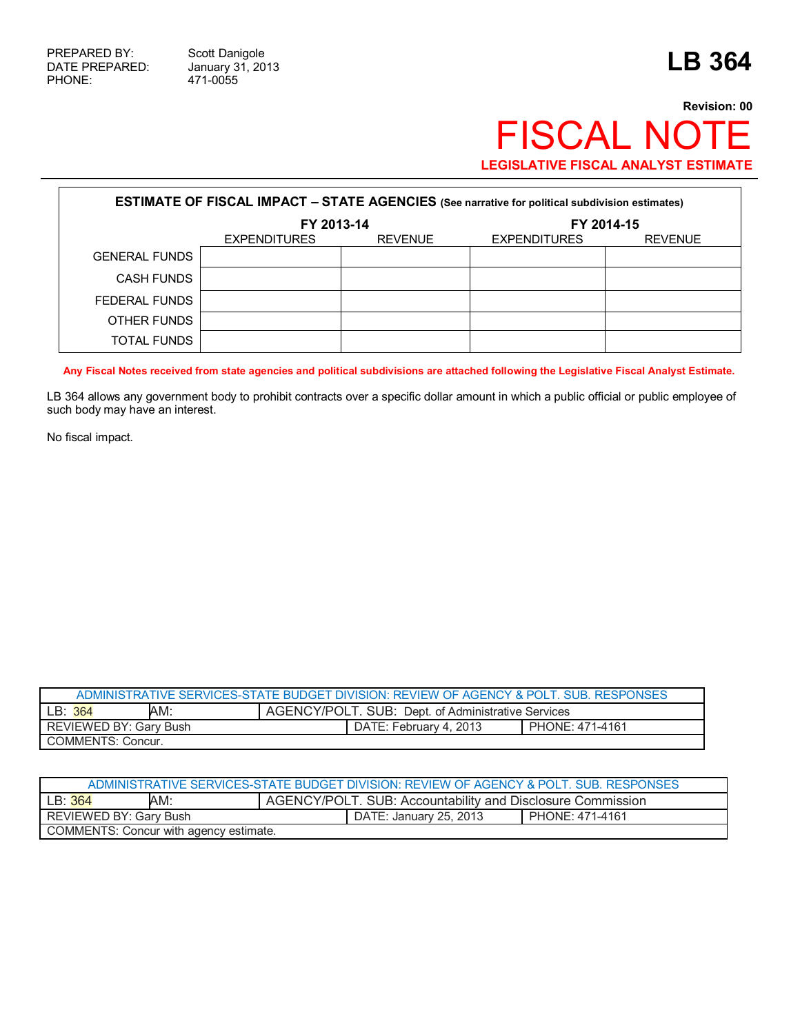Г

471-0055

# **Revision: 00** FISCAL NOTE **LEGISLATIVE FISCAL ANALYST ESTIMATE**

|                      | <b>ESTIMATE OF FISCAL IMPACT - STATE AGENCIES</b> (See narrative for political subdivision estimates) |                |                     |                |
|----------------------|-------------------------------------------------------------------------------------------------------|----------------|---------------------|----------------|
|                      | FY 2013-14                                                                                            |                |                     | FY 2014-15     |
|                      | <b>EXPENDITURES</b>                                                                                   | <b>REVENUE</b> | <b>EXPENDITURES</b> | <b>REVENUE</b> |
| <b>GENERAL FUNDS</b> |                                                                                                       |                |                     |                |
| <b>CASH FUNDS</b>    |                                                                                                       |                |                     |                |
| FEDERAL FUNDS        |                                                                                                       |                |                     |                |
| OTHER FUNDS          |                                                                                                       |                |                     |                |
| <b>TOTAL FUNDS</b>   |                                                                                                       |                |                     |                |

**Any Fiscal Notes received from state agencies and political subdivisions are attached following the Legislative Fiscal Analyst Estimate.** 

LB 364 allows any government body to prohibit contracts over a specific dollar amount in which a public official or public employee of such body may have an interest.

No fiscal impact.

|                        |     | ADMINISTRATIVE SERVICES-STATE BUDGET DIVISION: REVIEW OF AGENCY & POLT. SUB. RESPONSES |                 |
|------------------------|-----|----------------------------------------------------------------------------------------|-----------------|
| LB: 364                | AM: | AGENCY/POLT. SUB: Dept. of Administrative Services                                     |                 |
| REVIEWED BY: Gary Bush |     | DATE: February 4, 2013                                                                 | PHONE: 471-4161 |
| COMMENTS: Concur.      |     |                                                                                        |                 |

|                        |                                        | ADMINISTRATIVE SERVICES-STATE BUDGET DIVISION: REVIEW OF AGENCY & POLT. SUB. RESPONSES |                 |
|------------------------|----------------------------------------|----------------------------------------------------------------------------------------|-----------------|
| LB:364                 | AM:                                    | AGENCY/POLT. SUB: Accountability and Disclosure Commission                             |                 |
| REVIEWED BY: Gary Bush |                                        | DATE: January 25, 2013                                                                 | PHONE: 471-4161 |
|                        | COMMENTS: Concur with agency estimate. |                                                                                        |                 |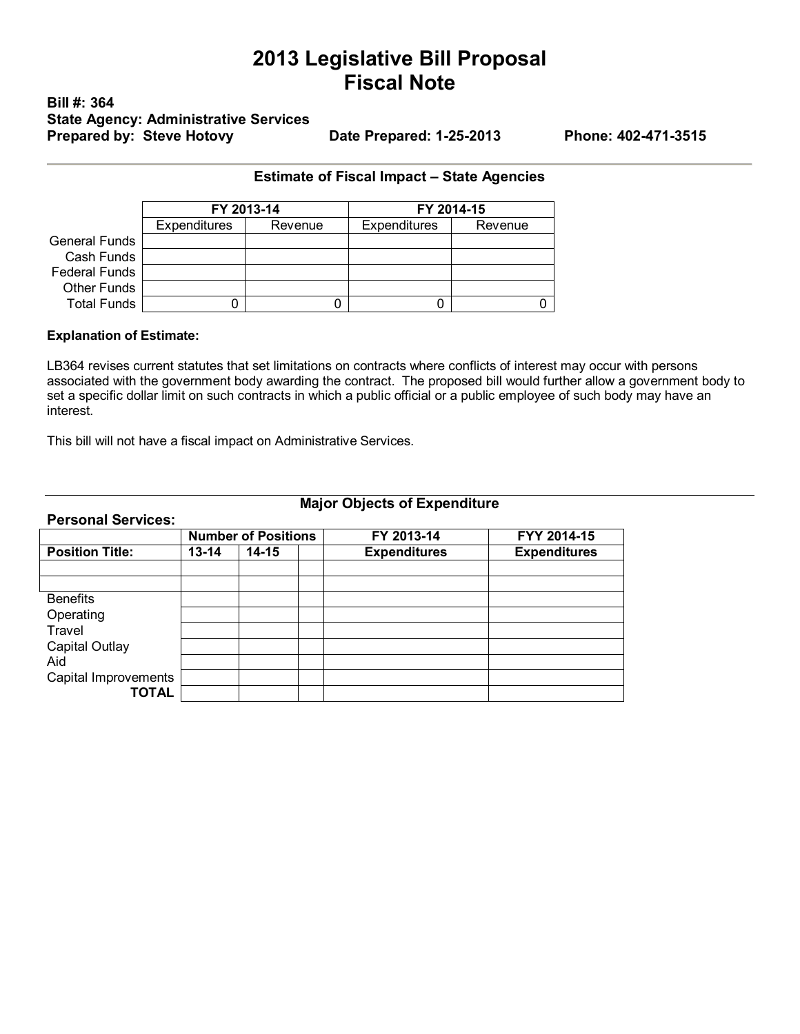# **2013 Legislative Bill Proposal Fiscal Note**

## **Bill #: 364 State Agency: Administrative Services Prepared by: Steve Hotovy Date Prepared: 1-25-2013 Phone: 402-471-3515**

### **Estimate of Fiscal Impact – State Agencies**

|                      | FY 2013-14          |         |                     | FY 2014-15 |
|----------------------|---------------------|---------|---------------------|------------|
|                      | <b>Expenditures</b> | Revenue | <b>Expenditures</b> | Revenue    |
| <b>General Funds</b> |                     |         |                     |            |
| Cash Funds           |                     |         |                     |            |
| <b>Federal Funds</b> |                     |         |                     |            |
| Other Funds          |                     |         |                     |            |
| <b>Total Funds</b>   |                     |         |                     |            |

#### **Explanation of Estimate:**

**Personal Services:** 

LB364 revises current statutes that set limitations on contracts where conflicts of interest may occur with persons associated with the government body awarding the contract. The proposed bill would further allow a government body to set a specific dollar limit on such contracts in which a public official or a public employee of such body may have an interest.

This bill will not have a fiscal impact on Administrative Services.

## **Major Objects of Expenditure**

|                        | <b>Number of Positions</b> |           | FY 2013-14          | FYY 2014-15         |
|------------------------|----------------------------|-----------|---------------------|---------------------|
| <b>Position Title:</b> | $13 - 14$                  | $14 - 15$ | <b>Expenditures</b> | <b>Expenditures</b> |
|                        |                            |           |                     |                     |
|                        |                            |           |                     |                     |
| <b>Benefits</b>        |                            |           |                     |                     |
| Operating              |                            |           |                     |                     |
| Travel                 |                            |           |                     |                     |
| <b>Capital Outlay</b>  |                            |           |                     |                     |
| Aid                    |                            |           |                     |                     |
| Capital Improvements   |                            |           |                     |                     |
| <b>TOTAL</b>           |                            |           |                     |                     |
|                        |                            |           |                     |                     |